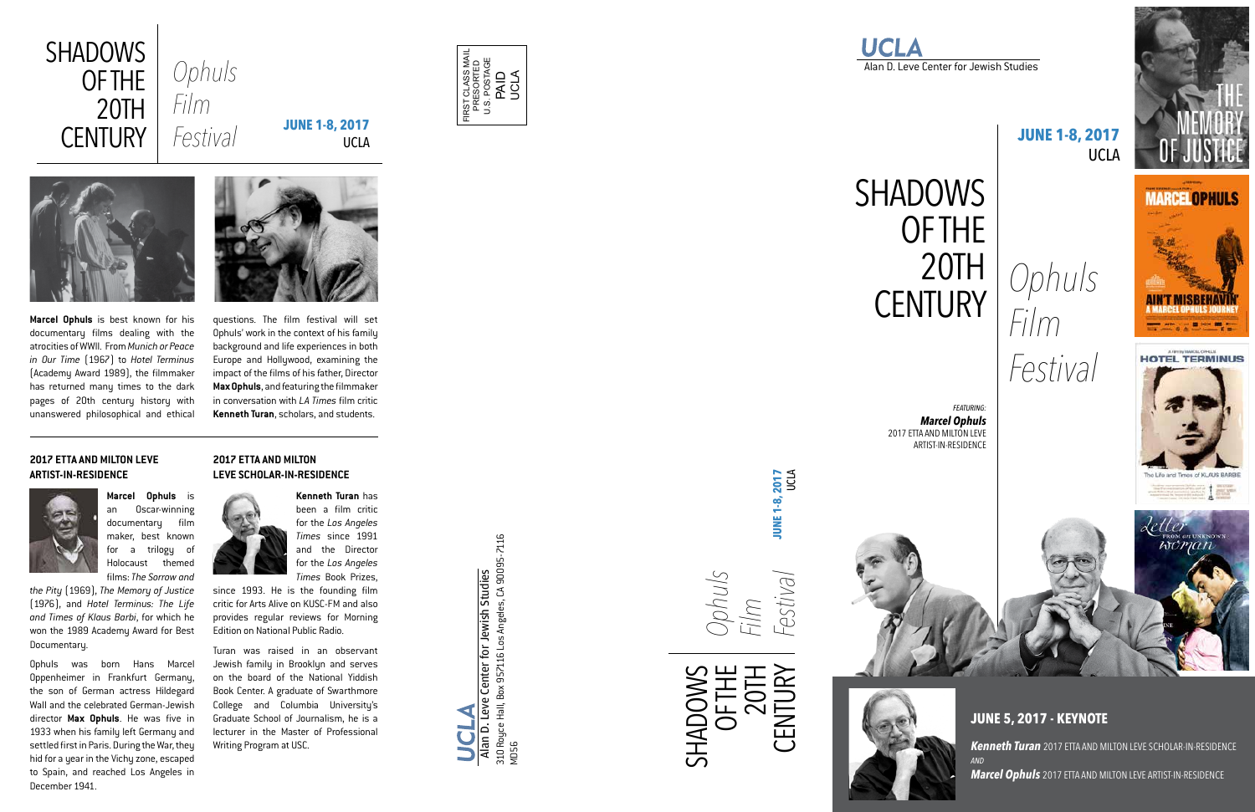*FEATURING: Marcel Ophuls* 2017 ETTA AND MILTON LEVE ARTIST-IN-RESIDENCE



# **SHADOWS** OF THE 20TH<br>CENTURY CENTURY *Ophuls*

Alan D. Leve Center for Jewish Studies

*Film Festival*



# 1 min woman

# **JUNE 1-8, 2017**  UCLA

**JUNE 5, 2017 - KEYNOTE**

*Kenneth Turan* 2017 ETTA AND MILTON LEVE SCHOLAR-IN-RESIDENCE *AND Marcel Ophuls* 2017 ETTA AND MILTON LEVE ARTIST-IN-RESIDENCE

FIRST CLASS MAIL PRESORTED U.S. POSTAGE PAID UCLA



SHADOWS

OF THE 20TH

CENTURY

*Ophuls* 

*Film* 

*Festival* **JUNE 1-8, 2017** UCLA

lennse-

**JUNE 1-8, 2017**<br>UCLA

**Marcel Ophuls** is best known for his documentary films dealing with the atrocities of WWII. From *Munich or Peace in Our Time* (1967) to *Hotel Terminus*  (Academy Award 1989), the filmmaker has returned many times to the dark pages of 20th century history with unanswered philosophical and ethical



questions. The film festival will set Ophuls' work in the context of his family background and life experiences in both Europe and Hollywood, examining the impact of the films of his father, Director **Max Ophuls**, and featuring the filmmaker in conversation with *LA Times* film critic **Kenneth Turan**, scholars, and students.

**Marcel Ophuls** is an Oscar-winning documentary film maker, best known for a trilogy of Holocaust themed films: *The Sorrow and* 

*the Pity* (1969), *The Memory of Justice* (1976), and *Hotel Terminus: The Life and Times of Klaus Barbi*, for which he won the 1989 Academy Award for Best Documentary.

Ophuls was born Hans Marcel Oppenheimer in Frankfurt Germany, the son of German actress Hildegard Wall and the celebrated German-Jewish director **Max Ophuls**. He was five in 1933 when his family left Germany and settled first in Paris. During the War, they hid for a year in the Vichy zone, escaped to Spain, and reached Los Angeles in December 1941.

**Kenneth Turan** has been a film critic for the *Los Angeles Times* since 1991 and the Director for the *Los Angeles Times* Book Prizes,

since 1993. He is the founding film critic for Arts Alive on KUSC-FM and also provides regular reviews for Morning Edition on National Public Radio.

Turan was raised in an observant Jewish family in Brooklyn and serves on the board of the National Yiddish Book Center. A graduate of Swarthmore College and Columbia University's Graduate School of Journalism, he is a lecturer in the Master of Professional Writing Program at USC.

enter for Jewish Studies<br>: 957116 Los Angeles, CA 90095-7116 310 Royce Hall, Box 957116 Los Angeles, CA 90095-7116 Alan D. Leve Center for Jewish Studies Alan D. Leve Center fo<br>310 Royce Hall, Box 957116<br>MD56

#### **2017 ETTA AND MILTON LEVE ARTIST-IN-RESIDENCE**



#### **2017 ETTA AND MILTON LEVE SCHOLAR-IN-RESIDENCE**

UCLA